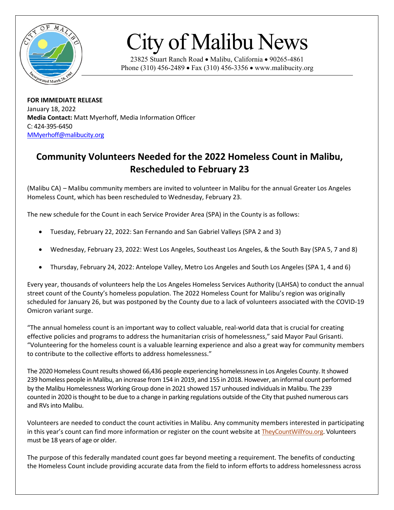

## City of Malibu News

23825 Stuart Ranch Road • Malibu, California • 90265-4861 Phone (310) 456-2489 • Fax (310) 456-3356 • www.malibucity.org

**FOR IMMEDIATE RELEASE** January 18, 2022 **Media Contact:** Matt Myerhoff, Media Information Officer C: 424-395-6450 [MMyerhoff@malibucity.org](mailto:MMyerhoff@malibucity.org)

## **Community Volunteers Needed for the 2022 Homeless Count in Malibu, Rescheduled to February 23**

(Malibu CA) – Malibu community members are invited to volunteer in Malibu for the annual Greater Los Angeles Homeless Count, which has been rescheduled to Wednesday, February 23.

The new schedule for the Count in each Service Provider Area (SPA) in the County is as follows:

- Tuesday, February 22, 2022: San Fernando and San Gabriel Valleys (SPA 2 and 3)
- Wednesday, February 23, 2022: West Los Angeles, Southeast Los Angeles, & the South Bay (SPA 5, 7 and 8)
- Thursday, February 24, 2022: Antelope Valley, Metro Los Angeles and South Los Angeles (SPA 1, 4 and 6)

Every year, thousands of volunteers help the Los Angeles Homeless Services Authority (LAHSA) to conduct the annual street count of the County's homeless population. The 2022 Homeless Count for Malibu's region was originally scheduled for January 26, but was postponed by the County due to a lack of volunteers associated with the COVID-19 Omicron variant surge.

"The annual homeless count is an important way to collect valuable, real-world data that is crucial for creating effective policies and programs to address the humanitarian crisis of homelessness," said Mayor Paul Grisanti. "Volunteering for the homeless count is a valuable learning experience and also a great way for community members to contribute to the collective efforts to address homelessness."

The 2020 Homeless Count results showed 66,436 people experiencing homelessness in Los Angeles County. It showed 239 homeless people in Malibu, an increase from 154 in 2019, and 155 in 2018. However, an informal count performed by the Malibu Homelessness Working Group done in 2021 showed 157 unhoused individuals in Malibu. The 239 counted in 2020 is thought to be due to a change in parking regulations outside of the City that pushed numerous cars and RVs into Malibu.

Volunteers are needed to conduct the count activities in Malibu. Any community members interested in participating in this year's count can find more information or register on the count website at [TheyCountWillYou.org.](https://www.theycountwillyou.org/) Volunteers must be 18 years of age or older.

The purpose of this federally mandated count goes far beyond meeting a requirement. The benefits of conducting the Homeless Count include providing accurate data from the field to inform efforts to address homelessness across